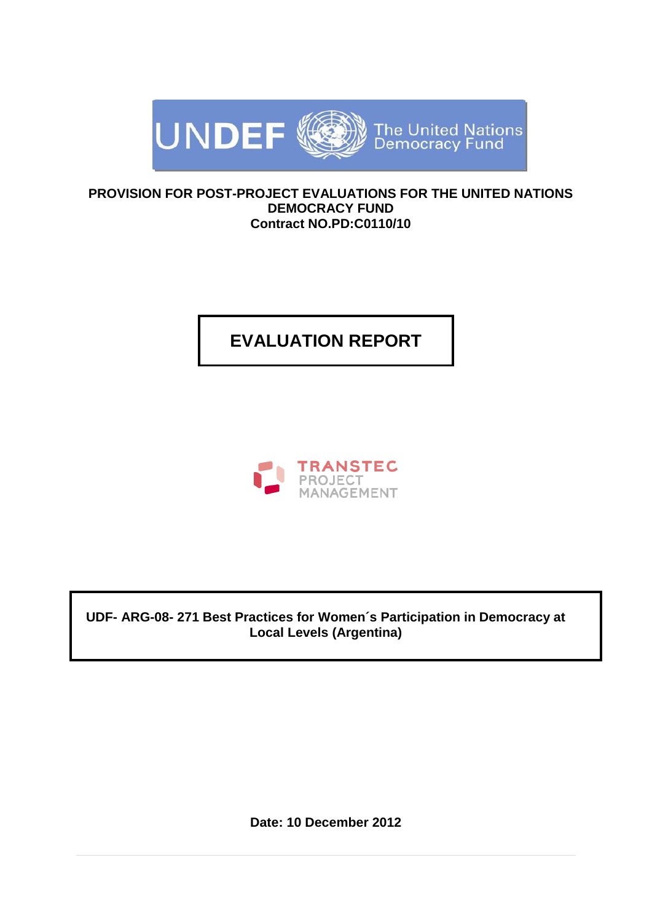

#### **PROVISION FOR POST-PROJECT EVALUATIONS FOR THE UNITED NATIONS DEMOCRACY FUND Contract NO.PD:C0110/10**

# **EVALUATION REPORT**



**UDF- ARG-08- 271 Best Practices for Women´s Participation in Democracy at Local Levels (Argentina)**

**Date: 10 December 2012**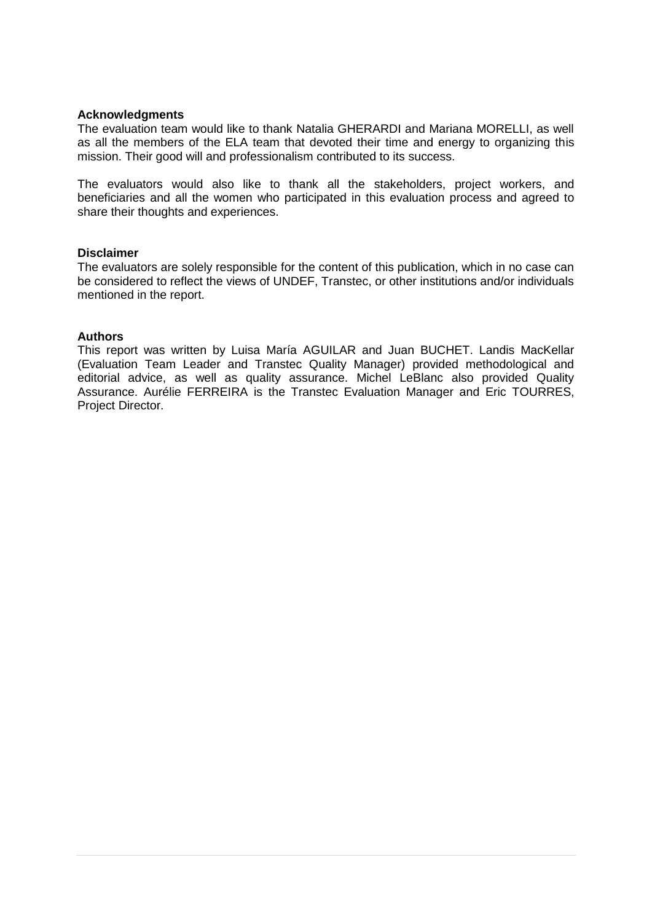#### **Acknowledgments**

The evaluation team would like to thank Natalia GHERARDI and Mariana MORELLI, as well as all the members of the ELA team that devoted their time and energy to organizing this mission. Their good will and professionalism contributed to its success.

The evaluators would also like to thank all the stakeholders, project workers, and beneficiaries and all the women who participated in this evaluation process and agreed to share their thoughts and experiences.

#### **Disclaimer**

The evaluators are solely responsible for the content of this publication, which in no case can be considered to reflect the views of UNDEF, Transtec, or other institutions and/or individuals mentioned in the report.

#### **Authors**

This report was written by Luisa María AGUILAR and Juan BUCHET. Landis MacKellar (Evaluation Team Leader and Transtec Quality Manager) provided methodological and editorial advice, as well as quality assurance. Michel LeBlanc also provided Quality Assurance. Aurélie FERREIRA is the Transtec Evaluation Manager and Eric TOURRES, Project Director.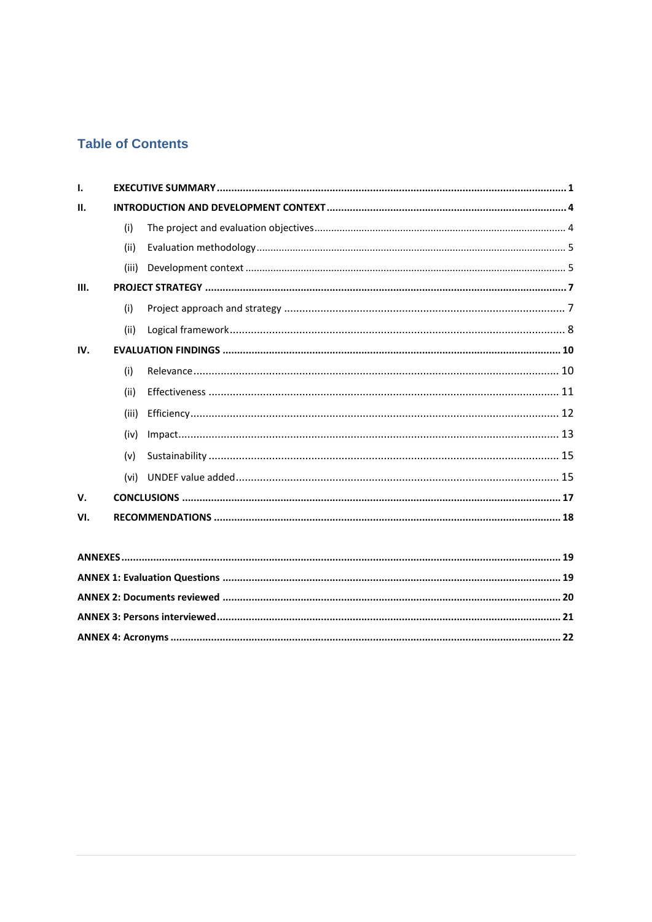## **Table of Contents**

| Τ.             |       |    |  |  |  |
|----------------|-------|----|--|--|--|
| Ш.             |       |    |  |  |  |
|                | (i)   |    |  |  |  |
|                | (ii)  |    |  |  |  |
|                | (iii) |    |  |  |  |
| III.           |       |    |  |  |  |
|                | (i)   |    |  |  |  |
|                | (ii)  |    |  |  |  |
| IV.            |       |    |  |  |  |
|                | (i)   |    |  |  |  |
|                | (ii)  |    |  |  |  |
|                | (iii) |    |  |  |  |
|                | (iv)  |    |  |  |  |
|                | (v)   |    |  |  |  |
|                | (vi)  |    |  |  |  |
| $V_{\cdot}$    |       |    |  |  |  |
| VI.            |       |    |  |  |  |
|                |       |    |  |  |  |
| <b>ANNEVEC</b> |       | 10 |  |  |  |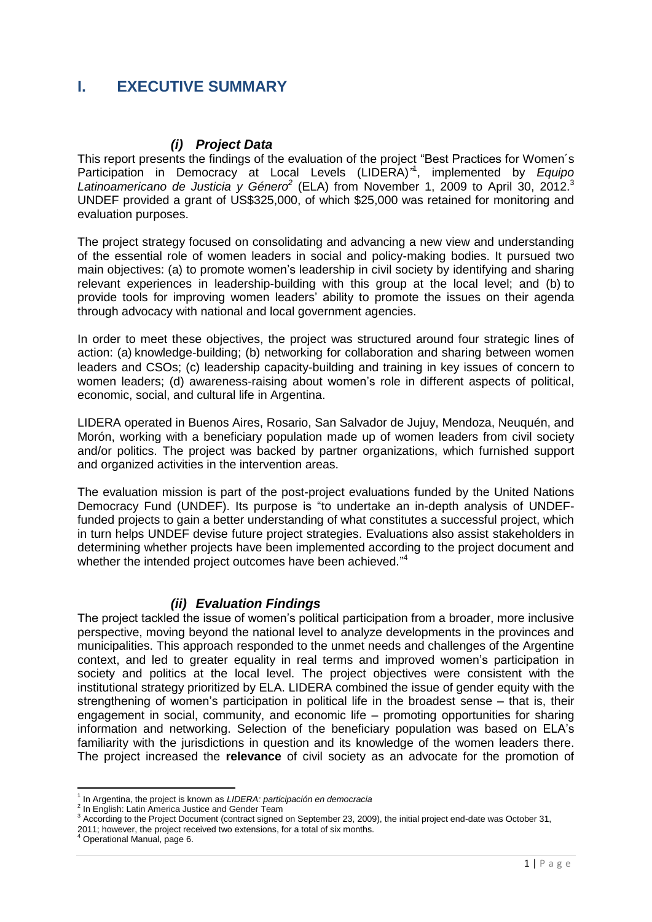### <span id="page-3-0"></span>**I. EXECUTIVE SUMMARY**

#### *(i) Project Data*

This report presents the findings of the evaluation of the project "Best Practices for Women´s Participation in Democracy at Local Levels (LIDERA)*"* 1 , implemented by *Equipo*  Latinoamericano de Justicia y Género<sup>2</sup> (ELA) from November 1, 2009 to April 30, 2012.<sup>3</sup> UNDEF provided a grant of US\$325,000, of which \$25,000 was retained for monitoring and evaluation purposes.

The project strategy focused on consolidating and advancing a new view and understanding of the essential role of women leaders in social and policy-making bodies. It pursued two main objectives: (a) to promote women's leadership in civil society by identifying and sharing relevant experiences in leadership-building with this group at the local level; and (b) to provide tools for improving women leaders' ability to promote the issues on their agenda through advocacy with national and local government agencies.

In order to meet these objectives, the project was structured around four strategic lines of action: (a) knowledge-building; (b) networking for collaboration and sharing between women leaders and CSOs; (c) leadership capacity-building and training in key issues of concern to women leaders; (d) awareness-raising about women's role in different aspects of political, economic, social, and cultural life in Argentina.

LIDERA operated in Buenos Aires, Rosario, San Salvador de Jujuy, Mendoza, Neuquén, and Morón, working with a beneficiary population made up of women leaders from civil society and/or politics. The project was backed by partner organizations, which furnished support and organized activities in the intervention areas.

The evaluation mission is part of the post-project evaluations funded by the United Nations Democracy Fund (UNDEF). Its purpose is "to undertake an in-depth analysis of UNDEFfunded projects to gain a better understanding of what constitutes a successful project, which in turn helps UNDEF devise future project strategies. Evaluations also assist stakeholders in determining whether projects have been implemented according to the project document and whether the intended project outcomes have been achieved."4

#### *(ii) Evaluation Findings*

The project tackled the issue of women's political participation from a broader, more inclusive perspective, moving beyond the national level to analyze developments in the provinces and municipalities. This approach responded to the unmet needs and challenges of the Argentine context, and led to greater equality in real terms and improved women's participation in society and politics at the local level. The project objectives were consistent with the institutional strategy prioritized by ELA. LIDERA combined the issue of gender equity with the strengthening of women's participation in political life in the broadest sense – that is, their engagement in social, community, and economic life – promoting opportunities for sharing information and networking. Selection of the beneficiary population was based on ELA's familiarity with the jurisdictions in question and its knowledge of the women leaders there. The project increased the **relevance** of civil society as an advocate for the promotion of

2011; however, the project received two extensions, for a total of six months. <sup>4</sup> Operational Manual, page 6.

 1 In Argentina, the project is known as *LIDERA: participación en democracia* 

<sup>&</sup>lt;sup>2</sup> In English: Latin America Justice and Gender Team

<sup>&</sup>lt;sup>3</sup> According to the Project Document (contract signed on September 23, 2009), the initial project end-date was October 31,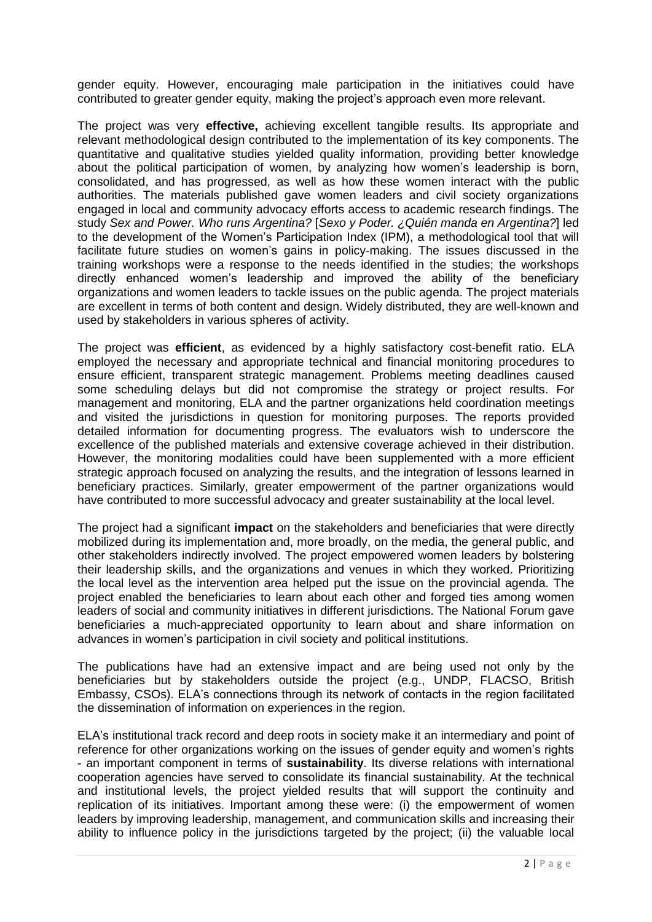gender equity. However, encouraging male participation in the initiatives could have contributed to greater gender equity, making the project's approach even more relevant.

The project was very **effective,** achieving excellent tangible results. Its appropriate and relevant methodological design contributed to the implementation of its key components. The quantitative and qualitative studies yielded quality information, providing better knowledge about the political participation of women, by analyzing how women's leadership is born, consolidated, and has progressed, as well as how these women interact with the public authorities. The materials published gave women leaders and civil society organizations engaged in local and community advocacy efforts access to academic research findings. The study *Sex and Power. Who runs Argentina?* [*Sexo y Poder. ¿Quién manda en Argentina?*] led to the development of the Women's Participation Index (IPM), a methodological tool that will facilitate future studies on women's gains in policy-making. The issues discussed in the training workshops were a response to the needs identified in the studies; the workshops directly enhanced women's leadership and improved the ability of the beneficiary organizations and women leaders to tackle issues on the public agenda. The project materials are excellent in terms of both content and design. Widely distributed, they are well-known and used by stakeholders in various spheres of activity.

The project was **efficient**, as evidenced by a highly satisfactory cost-benefit ratio. ELA employed the necessary and appropriate technical and financial monitoring procedures to ensure efficient, transparent strategic management. Problems meeting deadlines caused some scheduling delays but did not compromise the strategy or project results. For management and monitoring, ELA and the partner organizations held coordination meetings and visited the jurisdictions in question for monitoring purposes. The reports provided detailed information for documenting progress. The evaluators wish to underscore the excellence of the published materials and extensive coverage achieved in their distribution. However, the monitoring modalities could have been supplemented with a more efficient strategic approach focused on analyzing the results, and the integration of lessons learned in beneficiary practices. Similarly, greater empowerment of the partner organizations would have contributed to more successful advocacy and greater sustainability at the local level.

The project had a significant **impact** on the stakeholders and beneficiaries that were directly mobilized during its implementation and, more broadly, on the media, the general public, and other stakeholders indirectly involved. The project empowered women leaders by bolstering their leadership skills, and the organizations and venues in which they worked. Prioritizing the local level as the intervention area helped put the issue on the provincial agenda. The project enabled the beneficiaries to learn about each other and forged ties among women leaders of social and community initiatives in different jurisdictions. The National Forum gave beneficiaries a much-appreciated opportunity to learn about and share information on advances in women's participation in civil society and political institutions.

The publications have had an extensive impact and are being used not only by the beneficiaries but by stakeholders outside the project (e.g., UNDP, FLACSO, British Embassy, CSOs). ELA's connections through its network of contacts in the region facilitated the dissemination of information on experiences in the region.

ELA's institutional track record and deep roots in society make it an intermediary and point of reference for other organizations working on the issues of gender equity and women's rights - an important component in terms of **sustainability**. Its diverse relations with international cooperation agencies have served to consolidate its financial sustainability. At the technical and institutional levels, the project yielded results that will support the continuity and replication of its initiatives. Important among these were: (i) the empowerment of women leaders by improving leadership, management, and communication skills and increasing their ability to influence policy in the jurisdictions targeted by the project; (ii) the valuable local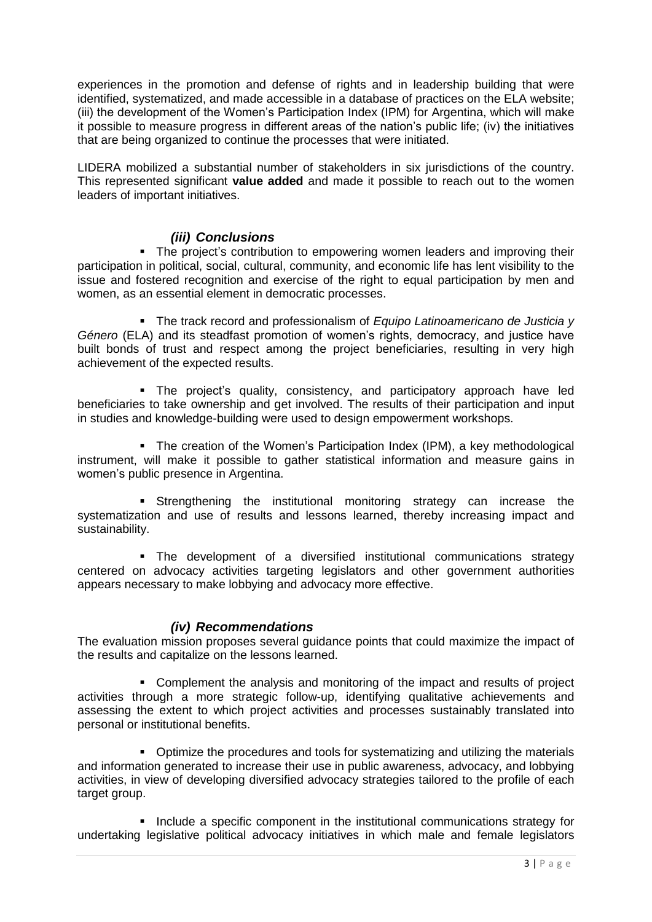experiences in the promotion and defense of rights and in leadership building that were identified, systematized, and made accessible in a database of practices on the ELA website; (iii) the development of the Women's Participation Index (IPM) for Argentina, which will make it possible to measure progress in different areas of the nation's public life; (iv) the initiatives that are being organized to continue the processes that were initiated.

LIDERA mobilized a substantial number of stakeholders in six jurisdictions of the country. This represented significant **value added** and made it possible to reach out to the women leaders of important initiatives.

#### *(iii) Conclusions*

• The project's contribution to empowering women leaders and improving their participation in political, social, cultural, community, and economic life has lent visibility to the issue and fostered recognition and exercise of the right to equal participation by men and women, as an essential element in democratic processes.

 The track record and professionalism of *Equipo Latinoamericano de Justicia y Género* (ELA) and its steadfast promotion of women's rights, democracy, and justice have built bonds of trust and respect among the project beneficiaries, resulting in very high achievement of the expected results.

 The project's quality, consistency, and participatory approach have led beneficiaries to take ownership and get involved. The results of their participation and input in studies and knowledge-building were used to design empowerment workshops.

• The creation of the Women's Participation Index (IPM), a key methodological instrument, will make it possible to gather statistical information and measure gains in women's public presence in Argentina.

**Strengthening the institutional monitoring strategy can increase the** systematization and use of results and lessons learned, thereby increasing impact and sustainability.

 The development of a diversified institutional communications strategy centered on advocacy activities targeting legislators and other government authorities appears necessary to make lobbying and advocacy more effective.

#### *(iv) Recommendations*

The evaluation mission proposes several guidance points that could maximize the impact of the results and capitalize on the lessons learned.

 Complement the analysis and monitoring of the impact and results of project activities through a more strategic follow-up, identifying qualitative achievements and assessing the extent to which project activities and processes sustainably translated into personal or institutional benefits.

 Optimize the procedures and tools for systematizing and utilizing the materials and information generated to increase their use in public awareness, advocacy, and lobbying activities, in view of developing diversified advocacy strategies tailored to the profile of each target group.

**Include a specific component in the institutional communications strategy for** undertaking legislative political advocacy initiatives in which male and female legislators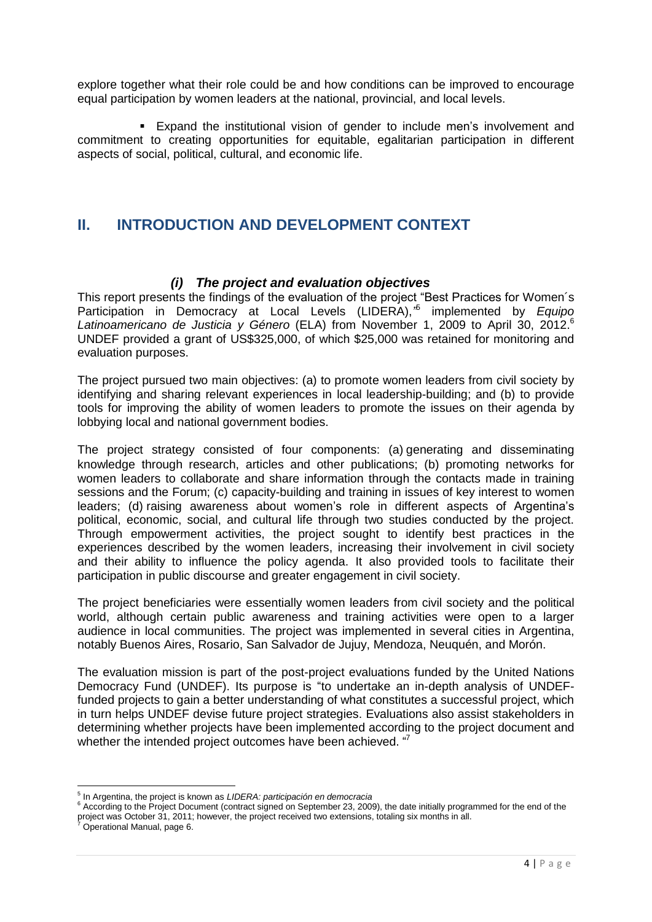explore together what their role could be and how conditions can be improved to encourage equal participation by women leaders at the national, provincial, and local levels.

 Expand the institutional vision of gender to include men's involvement and commitment to creating opportunities for equitable, egalitarian participation in different aspects of social, political, cultural, and economic life.

### <span id="page-6-0"></span>**II. INTRODUCTION AND DEVELOPMENT CONTEXT**

#### *(i) The project and evaluation objectives*

<span id="page-6-1"></span>This report presents the findings of the evaluation of the project "Best Practices for Women´s Participation in Democracy at Local Levels (LIDERA),<sup>75</sup> implemented by Equipo *Latinoamericano de Justicia y Género* (ELA) from November 1, 2009 to April 30, 2012. 6 UNDEF provided a grant of US\$325,000, of which \$25,000 was retained for monitoring and evaluation purposes.

The project pursued two main objectives: (a) to promote women leaders from civil society by identifying and sharing relevant experiences in local leadership-building; and (b) to provide tools for improving the ability of women leaders to promote the issues on their agenda by lobbying local and national government bodies.

The project strategy consisted of four components: (a) generating and disseminating knowledge through research, articles and other publications; (b) promoting networks for women leaders to collaborate and share information through the contacts made in training sessions and the Forum; (c) capacity-building and training in issues of key interest to women leaders; (d) raising awareness about women's role in different aspects of Argentina's political, economic, social, and cultural life through two studies conducted by the project. Through empowerment activities, the project sought to identify best practices in the experiences described by the women leaders, increasing their involvement in civil society and their ability to influence the policy agenda. It also provided tools to facilitate their participation in public discourse and greater engagement in civil society.

The project beneficiaries were essentially women leaders from civil society and the political world, although certain public awareness and training activities were open to a larger audience in local communities. The project was implemented in several cities in Argentina, notably Buenos Aires, Rosario, San Salvador de Jujuy, Mendoza, Neuquén, and Morón.

The evaluation mission is part of the post-project evaluations funded by the United Nations Democracy Fund (UNDEF). Its purpose is "to undertake an in-depth analysis of UNDEFfunded projects to gain a better understanding of what constitutes a successful project, which in turn helps UNDEF devise future project strategies. Evaluations also assist stakeholders in determining whether projects have been implemented according to the project document and whether the intended project outcomes have been achieved. "7

 5 In Argentina, the project is known as *LIDERA: participación en democracia*

<sup>6</sup> According to the Project Document (contract signed on September 23, 2009), the date initially programmed for the end of the project was October 31, 2011; however, the project received two extensions, totaling six months in all.

<sup>7</sup> Operational Manual, page 6.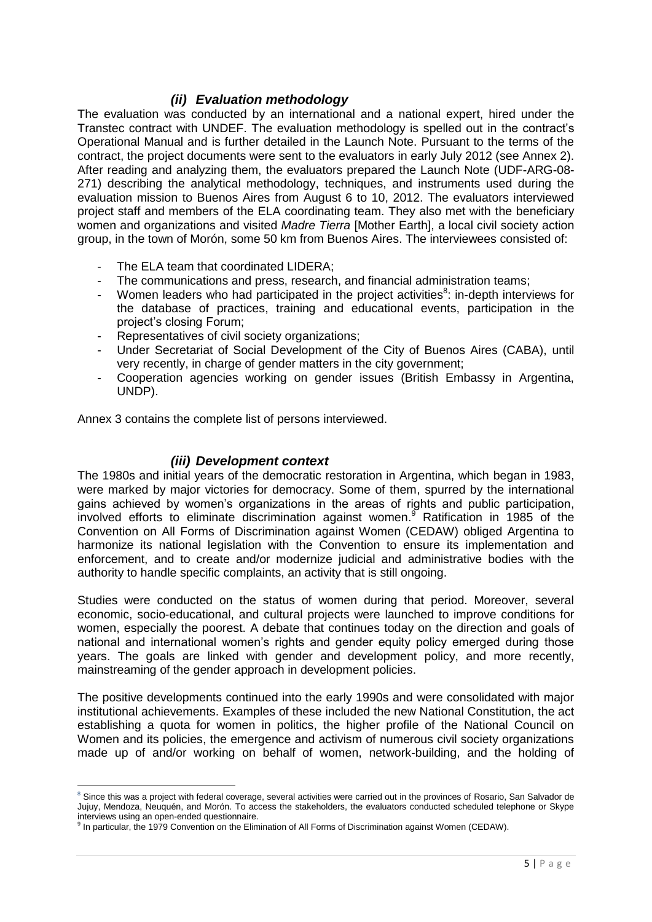#### *(ii) Evaluation methodology*

<span id="page-7-0"></span>The evaluation was conducted by an international and a national expert, hired under the Transtec contract with UNDEF. The evaluation methodology is spelled out in the contract's Operational Manual and is further detailed in the Launch Note. Pursuant to the terms of the contract, the project documents were sent to the evaluators in early July 2012 (see Annex 2). After reading and analyzing them, the evaluators prepared the Launch Note (UDF-ARG-08- 271) describing the analytical methodology, techniques, and instruments used during the evaluation mission to Buenos Aires from August 6 to 10, 2012. The evaluators interviewed project staff and members of the ELA coordinating team. They also met with the beneficiary women and organizations and visited *Madre Tierra* [Mother Earth], a local civil society action group, in the town of Morón, some 50 km from Buenos Aires. The interviewees consisted of:

- The ELA team that coordinated LIDERA;
- The communications and press, research, and financial administration teams;
- Women leaders who had participated in the project activities $8$ : in-depth interviews for the database of practices, training and educational events, participation in the project's closing Forum;
- Representatives of civil society organizations;
- Under Secretariat of Social Development of the City of Buenos Aires (CABA), until very recently, in charge of gender matters in the city government;
- Cooperation agencies working on gender issues (British Embassy in Argentina, UNDP).

Annex 3 contains the complete list of persons interviewed.

#### *(iii) Development context*

<span id="page-7-1"></span>The 1980s and initial years of the democratic restoration in Argentina, which began in 1983, were marked by major victories for democracy. Some of them, spurred by the international gains achieved by women's organizations in the areas of rights and public participation, involved efforts to eliminate discrimination against women.<sup>9</sup> Ratification in 1985 of the Convention on All Forms of Discrimination against Women (CEDAW) obliged Argentina to harmonize its national legislation with the Convention to ensure its implementation and enforcement, and to create and/or modernize judicial and administrative bodies with the authority to handle specific complaints, an activity that is still ongoing.

Studies were conducted on the status of women during that period. Moreover, several economic, socio-educational, and cultural projects were launched to improve conditions for women, especially the poorest. A debate that continues today on the direction and goals of national and international women's rights and gender equity policy emerged during those years. The goals are linked with gender and development policy, and more recently, mainstreaming of the gender approach in development policies.

The positive developments continued into the early 1990s and were consolidated with major institutional achievements. Examples of these included the new National Constitution, the act establishing a quota for women in politics, the higher profile of the National Council on Women and its policies, the emergence and activism of numerous civil society organizations made up of and/or working on behalf of women, network-building, and the holding of

**<sup>.</sup>**  $8$  Since this was a project with federal coverage, several activities were carried out in the provinces of Rosario, San Salvador de Jujuy, Mendoza, Neuquén, and Morón. To access the stakeholders, the evaluators conducted scheduled telephone or Skype interviews using an open-ended questionnaire.

<sup>&</sup>lt;sup>9</sup> In particular, the 1979 Convention on the Elimination of All Forms of Discrimination against Women (CEDAW).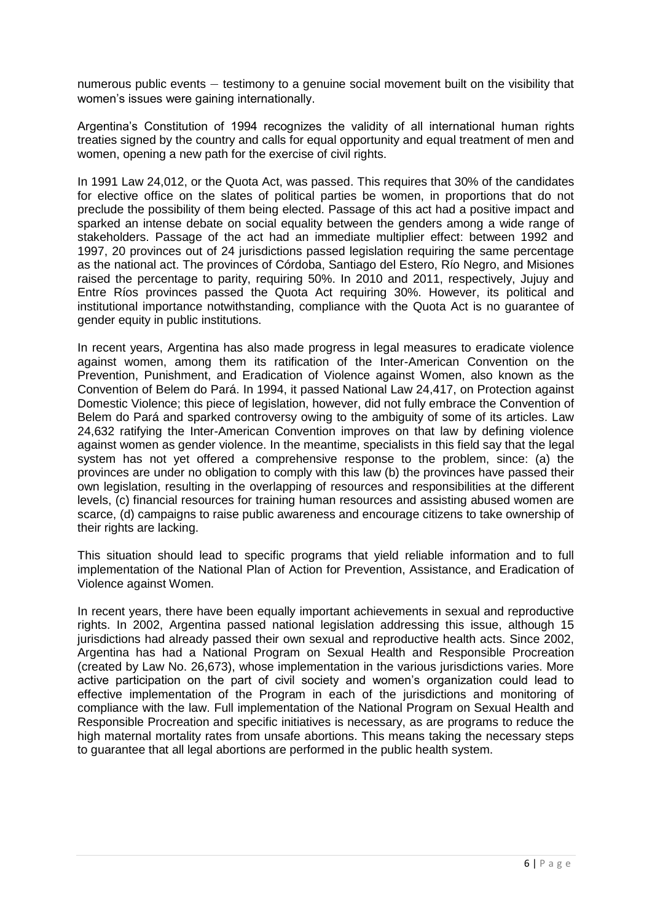numerous public events — testimony to a genuine social movement built on the visibility that women's issues were gaining internationally.

Argentina's Constitution of 1994 recognizes the validity of all international human rights treaties signed by the country and calls for equal opportunity and equal treatment of men and women, opening a new path for the exercise of civil rights.

In 1991 Law 24,012, or the Quota Act, was passed. This requires that 30% of the candidates for elective office on the slates of political parties be women, in proportions that do not preclude the possibility of them being elected. Passage of this act had a positive impact and sparked an intense debate on social equality between the genders among a wide range of stakeholders. Passage of the act had an immediate multiplier effect: between 1992 and 1997, 20 provinces out of 24 jurisdictions passed legislation requiring the same percentage as the national act. The provinces of Córdoba, Santiago del Estero, Río Negro, and Misiones raised the percentage to parity, requiring 50%. In 2010 and 2011, respectively, Jujuy and Entre Ríos provinces passed the Quota Act requiring 30%. However, its political and institutional importance notwithstanding, compliance with the Quota Act is no guarantee of gender equity in public institutions.

In recent years, Argentina has also made progress in legal measures to eradicate violence against women, among them its ratification of the Inter-American Convention on the Prevention, Punishment, and Eradication of Violence against Women, also known as the Convention of Belem do Pará. In 1994, it passed National Law 24,417, on Protection against Domestic Violence; this piece of legislation, however, did not fully embrace the Convention of Belem do Pará and sparked controversy owing to the ambiguity of some of its articles. Law 24,632 ratifying the Inter-American Convention improves on that law by defining violence against women as gender violence. In the meantime, specialists in this field say that the legal system has not yet offered a comprehensive response to the problem, since: (a) the provinces are under no obligation to comply with this law (b) the provinces have passed their own legislation, resulting in the overlapping of resources and responsibilities at the different levels, (c) financial resources for training human resources and assisting abused women are scarce, (d) campaigns to raise public awareness and encourage citizens to take ownership of their rights are lacking.

This situation should lead to specific programs that yield reliable information and to full implementation of the National Plan of Action for Prevention, Assistance, and Eradication of Violence against Women.

In recent years, there have been equally important achievements in sexual and reproductive rights. In 2002, Argentina passed national legislation addressing this issue, although 15 jurisdictions had already passed their own sexual and reproductive health acts. Since 2002, Argentina has had a National Program on Sexual Health and Responsible Procreation (created by Law No. 26,673), whose implementation in the various jurisdictions varies. More active participation on the part of civil society and women's organization could lead to effective implementation of the Program in each of the jurisdictions and monitoring of compliance with the law. Full implementation of the National Program on Sexual Health and Responsible Procreation and specific initiatives is necessary, as are programs to reduce the high maternal mortality rates from unsafe abortions. This means taking the necessary steps to guarantee that all legal abortions are performed in the public health system.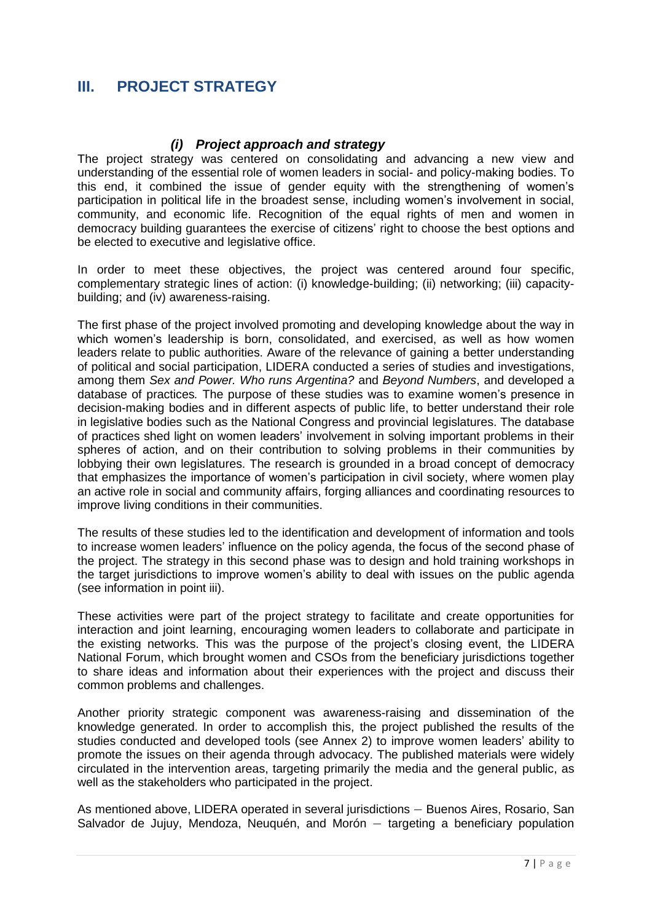## <span id="page-9-0"></span>**III. PROJECT STRATEGY**

#### *(i) Project approach and strategy*

<span id="page-9-1"></span>The project strategy was centered on consolidating and advancing a new view and understanding of the essential role of women leaders in social- and policy-making bodies. To this end, it combined the issue of gender equity with the strengthening of women's participation in political life in the broadest sense, including women's involvement in social, community, and economic life. Recognition of the equal rights of men and women in democracy building guarantees the exercise of citizens' right to choose the best options and be elected to executive and legislative office.

In order to meet these objectives, the project was centered around four specific, complementary strategic lines of action: (i) knowledge-building; (ii) networking; (iii) capacitybuilding; and (iv) awareness-raising.

The first phase of the project involved promoting and developing knowledge about the way in which women's leadership is born, consolidated, and exercised, as well as how women leaders relate to public authorities. Aware of the relevance of gaining a better understanding of political and social participation, LIDERA conducted a series of studies and investigations, among them *Sex and Power. Who runs Argentina?* and *Beyond Numbers*, and developed a database of practices*.* The purpose of these studies was to examine women's presence in decision-making bodies and in different aspects of public life, to better understand their role in legislative bodies such as the National Congress and provincial legislatures. The database of practices shed light on women leaders' involvement in solving important problems in their spheres of action, and on their contribution to solving problems in their communities by lobbying their own legislatures. The research is grounded in a broad concept of democracy that emphasizes the importance of women's participation in civil society, where women play an active role in social and community affairs, forging alliances and coordinating resources to improve living conditions in their communities.

The results of these studies led to the identification and development of information and tools to increase women leaders' influence on the policy agenda, the focus of the second phase of the project. The strategy in this second phase was to design and hold training workshops in the target jurisdictions to improve women's ability to deal with issues on the public agenda (see information in point iii).

These activities were part of the project strategy to facilitate and create opportunities for interaction and joint learning, encouraging women leaders to collaborate and participate in the existing networks. This was the purpose of the project's closing event, the LIDERA National Forum, which brought women and CSOs from the beneficiary jurisdictions together to share ideas and information about their experiences with the project and discuss their common problems and challenges.

Another priority strategic component was awareness-raising and dissemination of the knowledge generated. In order to accomplish this, the project published the results of the studies conducted and developed tools (see Annex 2) to improve women leaders' ability to promote the issues on their agenda through advocacy. The published materials were widely circulated in the intervention areas, targeting primarily the media and the general public, as well as the stakeholders who participated in the project.

As mentioned above, LIDERA operated in several jurisdictions — Buenos Aires, Rosario, San Salvador de Jujuy, Mendoza, Neuquén, and Morón — targeting a beneficiary population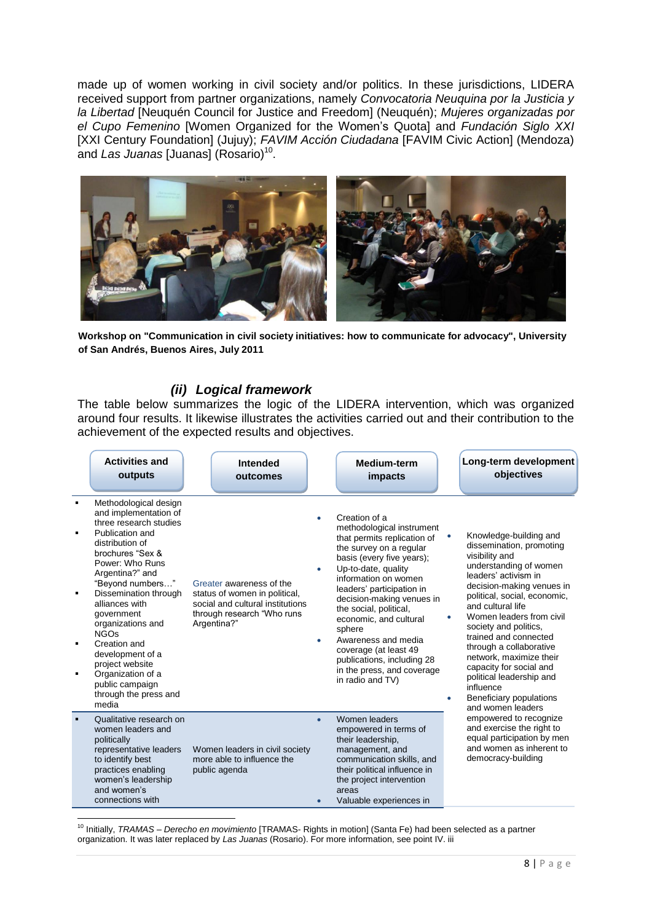made up of women working in civil society and/or politics. In these jurisdictions, LIDERA received support from partner organizations, namely *Convocatoria Neuquina por la Justicia y la Libertad* [Neuquén Council for Justice and Freedom] (Neuquén); *Mujeres organizadas por el Cupo Femenino* [Women Organized for the Women's Quota] and *Fundación Siglo XXI* [XXI Century Foundation] (Jujuy); *FAVIM Acción Ciudadana* [FAVIM Civic Action] (Mendoza) and Las Juanas [Juanas] (Rosario)<sup>10</sup>.



**Workshop on "Communication in civil society initiatives: how to communicate for advocacy", University of San Andrés, Buenos Aires, July 2011**

#### *(ii) Logical framework*

<span id="page-10-0"></span>The table below summarizes the logic of the LIDERA intervention, which was organized around four results. It likewise illustrates the activities carried out and their contribution to the achievement of the expected results and objectives.

|                                       | <b>Activities and</b><br>outputs                                                                                                                                                                                                                                                                                                                                                                                           | Intended<br>outcomes                                                                                                                       |           | <b>Medium-term</b><br>impacts                                                                                                                                                                                                                                                                                                                                                                                                            |                             | Long-term development<br>objectives                                                                                                                                                                                                                                                                                                                                                                                                                              |
|---------------------------------------|----------------------------------------------------------------------------------------------------------------------------------------------------------------------------------------------------------------------------------------------------------------------------------------------------------------------------------------------------------------------------------------------------------------------------|--------------------------------------------------------------------------------------------------------------------------------------------|-----------|------------------------------------------------------------------------------------------------------------------------------------------------------------------------------------------------------------------------------------------------------------------------------------------------------------------------------------------------------------------------------------------------------------------------------------------|-----------------------------|------------------------------------------------------------------------------------------------------------------------------------------------------------------------------------------------------------------------------------------------------------------------------------------------------------------------------------------------------------------------------------------------------------------------------------------------------------------|
| $\blacksquare$<br>$\blacksquare$<br>٠ | Methodological design<br>and implementation of<br>three research studies<br>Publication and<br>distribution of<br>brochures "Sex &<br>Power: Who Runs<br>Argentina?" and<br>"Beyond numbers"<br>Dissemination through<br>alliances with<br>government<br>organizations and<br><b>NGOs</b><br>Creation and<br>development of a<br>project website<br>Organization of a<br>public campaign<br>through the press and<br>media | Greater awareness of the<br>status of women in political,<br>social and cultural institutions<br>through research "Who runs<br>Argentina?" | $\bullet$ | Creation of a<br>methodological instrument<br>that permits replication of<br>the survey on a regular<br>basis (every five years);<br>Up-to-date, quality<br>information on women<br>leaders' participation in<br>decision-making venues in<br>the social, political,<br>economic, and cultural<br>sphere<br>Awareness and media<br>coverage (at least 49<br>publications, including 28<br>in the press, and coverage<br>in radio and TV) | $\bullet$<br>٠<br>$\bullet$ | Knowledge-building and<br>dissemination, promoting<br>visibility and<br>understanding of women<br>leaders' activism in<br>decision-making venues in<br>political, social, economic,<br>and cultural life<br>Women leaders from civil<br>society and politics.<br>trained and connected<br>through a collaborative<br>network, maximize their<br>capacity for social and<br>political leadership and<br>influence<br>Beneficiary populations<br>and women leaders |
|                                       | Qualitative research on<br>women leaders and<br>politically<br>representative leaders<br>to identify best<br>practices enabling<br>women's leadership<br>and women's<br>connections with                                                                                                                                                                                                                                   | Women leaders in civil society<br>more able to influence the<br>public agenda                                                              | $\bullet$ | Women leaders<br>empowered in terms of<br>their leadership,<br>management, and<br>communication skills, and<br>their political influence in<br>the project intervention<br>areas<br>Valuable experiences in                                                                                                                                                                                                                              |                             | empowered to recognize<br>and exercise the right to<br>equal participation by men<br>and women as inherent to<br>democracy-building                                                                                                                                                                                                                                                                                                                              |

1 <sup>10</sup> Initially, *TRAMAS – Derecho en movimiento* [TRAMAS- Rights in motion] (Santa Fe) had been selected as a partner organization. It was later replaced by *Las Juanas* (Rosario). For more information, see point IV. iii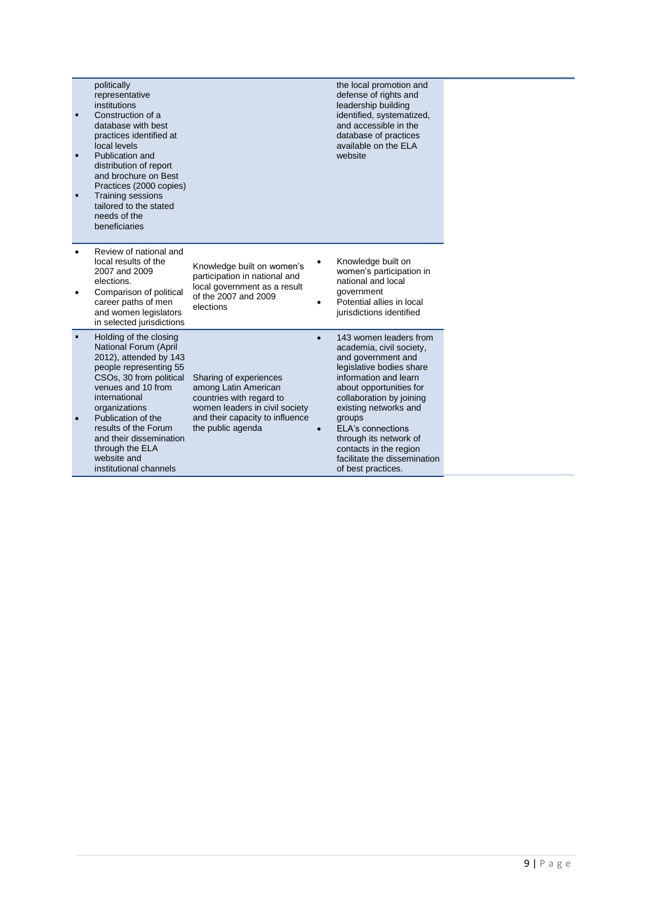| politically<br>representative<br>institutions<br>Construction of a<br>database with best<br>practices identified at<br>local levels<br>Publication and<br>distribution of report<br>and brochure on Best<br>Practices (2000 copies)<br>Training sessions<br>tailored to the stated<br>needs of the<br>beneficiaries         |                                                                                                                                                                      |           | the local promotion and<br>defense of rights and<br>leadership building<br>identified, systematized,<br>and accessible in the<br>database of practices<br>available on the ELA<br>website                                                                                                                                                                     |
|-----------------------------------------------------------------------------------------------------------------------------------------------------------------------------------------------------------------------------------------------------------------------------------------------------------------------------|----------------------------------------------------------------------------------------------------------------------------------------------------------------------|-----------|---------------------------------------------------------------------------------------------------------------------------------------------------------------------------------------------------------------------------------------------------------------------------------------------------------------------------------------------------------------|
| Review of national and<br>local results of the<br>2007 and 2009<br>elections.<br>Comparison of political<br>career paths of men<br>and women legislators<br>in selected jurisdictions                                                                                                                                       | Knowledge built on women's<br>participation in national and<br>local government as a result<br>of the 2007 and 2009<br>elections                                     |           | Knowledge built on<br>women's participation in<br>national and local<br>government<br>Potential allies in local<br>jurisdictions identified                                                                                                                                                                                                                   |
| Holding of the closing<br>National Forum (April<br>2012), attended by 143<br>people representing 55<br>CSOs, 30 from political<br>venues and 10 from<br>international<br>organizations<br>Publication of the<br>results of the Forum<br>and their dissemination<br>through the ELA<br>website and<br>institutional channels | Sharing of experiences<br>among Latin American<br>countries with regard to<br>women leaders in civil society<br>and their capacity to influence<br>the public agenda | $\bullet$ | 143 women leaders from<br>academia, civil society,<br>and government and<br>legislative bodies share<br>information and learn<br>about opportunities for<br>collaboration by joining<br>existing networks and<br>groups<br><b>ELA's connections</b><br>through its network of<br>contacts in the region<br>facilitate the dissemination<br>of best practices. |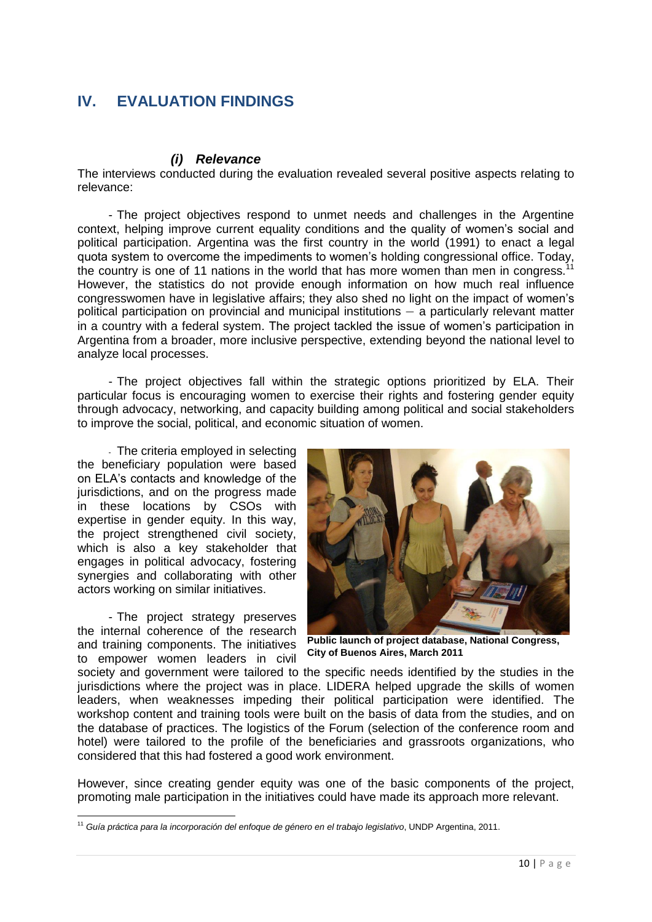## <span id="page-12-0"></span>**IV. EVALUATION FINDINGS**

#### *(i) Relevance*

<span id="page-12-1"></span>The interviews conducted during the evaluation revealed several positive aspects relating to relevance:

- The project objectives respond to unmet needs and challenges in the Argentine context, helping improve current equality conditions and the quality of women's social and political participation. Argentina was the first country in the world (1991) to enact a legal quota system to overcome the impediments to women's holding congressional office. Today, the country is one of 11 nations in the world that has more women than men in congress.<sup>11</sup> However, the statistics do not provide enough information on how much real influence congresswomen have in legislative affairs; they also shed no light on the impact of women's political participation on provincial and municipal institutions — a particularly relevant matter in a country with a federal system. The project tackled the issue of women's participation in Argentina from a broader, more inclusive perspective, extending beyond the national level to analyze local processes.

- The project objectives fall within the strategic options prioritized by ELA. Their particular focus is encouraging women to exercise their rights and fostering gender equity through advocacy, networking, and capacity building among political and social stakeholders to improve the social, political, and economic situation of women.

- The criteria employed in selecting the beneficiary population were based on ELA's contacts and knowledge of the jurisdictions, and on the progress made in these locations by CSOs with expertise in gender equity. In this way, the project strengthened civil society, which is also a key stakeholder that engages in political advocacy, fostering synergies and collaborating with other actors working on similar initiatives.

- The project strategy preserves the internal coherence of the research and training components. The initiatives to empower women leaders in civil



**Public launch of project database, National Congress, City of Buenos Aires, March 2011**

society and government were tailored to the specific needs identified by the studies in the jurisdictions where the project was in place. LIDERA helped upgrade the skills of women leaders, when weaknesses impeding their political participation were identified. The workshop content and training tools were built on the basis of data from the studies, and on the database of practices. The logistics of the Forum (selection of the conference room and hotel) were tailored to the profile of the beneficiaries and grassroots organizations, who considered that this had fostered a good work environment.

However, since creating gender equity was one of the basic components of the project, promoting male participation in the initiatives could have made its approach more relevant.

 $\overline{a}$ <sup>11</sup> *Guía práctica para la incorporación del enfoque de género en el trabajo legislativo*, UNDP Argentina, 2011.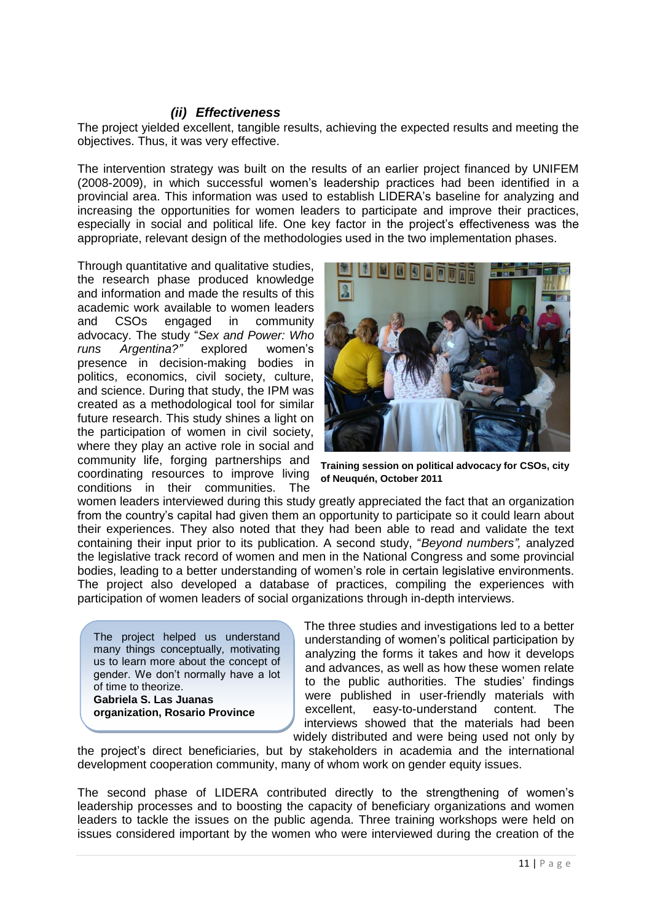#### *(ii) Effectiveness*

<span id="page-13-0"></span>The project yielded excellent, tangible results, achieving the expected results and meeting the objectives. Thus, it was very effective.

The intervention strategy was built on the results of an earlier project financed by UNIFEM (2008-2009), in which successful women's leadership practices had been identified in a provincial area. This information was used to establish LIDERA's baseline for analyzing and increasing the opportunities for women leaders to participate and improve their practices, especially in social and political life. One key factor in the project's effectiveness was the appropriate, relevant design of the methodologies used in the two implementation phases.

Through quantitative and qualitative studies, the research phase produced knowledge and information and made the results of this academic work available to women leaders and CSOs engaged in community advocacy. The study "*Sex and Power: Who runs Argentina?"* explored women's presence in decision-making bodies in politics, economics, civil society, culture, and science. During that study, the IPM was created as a methodological tool for similar future research. This study shines a light on the participation of women in civil society, where they play an active role in social and community life, forging partnerships and coordinating resources to improve living conditions in their communities. The



**Training session on political advocacy for CSOs, city of Neuquén, October 2011**

women leaders interviewed during this study greatly appreciated the fact that an organization from the country's capital had given them an opportunity to participate so it could learn about their experiences. They also noted that they had been able to read and validate the text containing their input prior to its publication. A second study, "*Beyond numbers",* analyzed the legislative track record of women and men in the National Congress and some provincial bodies, leading to a better understanding of women's role in certain legislative environments. The project also developed a database of practices, compiling the experiences with participation of women leaders of social organizations through in-depth interviews.

The project helped us understand many things conceptually, motivating us to learn more about the concept of gender. We don't normally have a lot of time to theorize. **Gabriela S. Las Juanas** 

**organization, Rosario Province** 

The three studies and investigations led to a better understanding of women's political participation by analyzing the forms it takes and how it develops and advances, as well as how these women relate to the public authorities. The studies' findings were published in user-friendly materials with excellent, easy-to-understand content. The interviews showed that the materials had been widely distributed and were being used not only by

the project's direct beneficiaries, but by stakeholders in academia and the international development cooperation community, many of whom work on gender equity issues.

The second phase of LIDERA contributed directly to the strengthening of women's leadership processes and to boosting the capacity of beneficiary organizations and women leaders to tackle the issues on the public agenda. Three training workshops were held on issues considered important by the women who were interviewed during the creation of the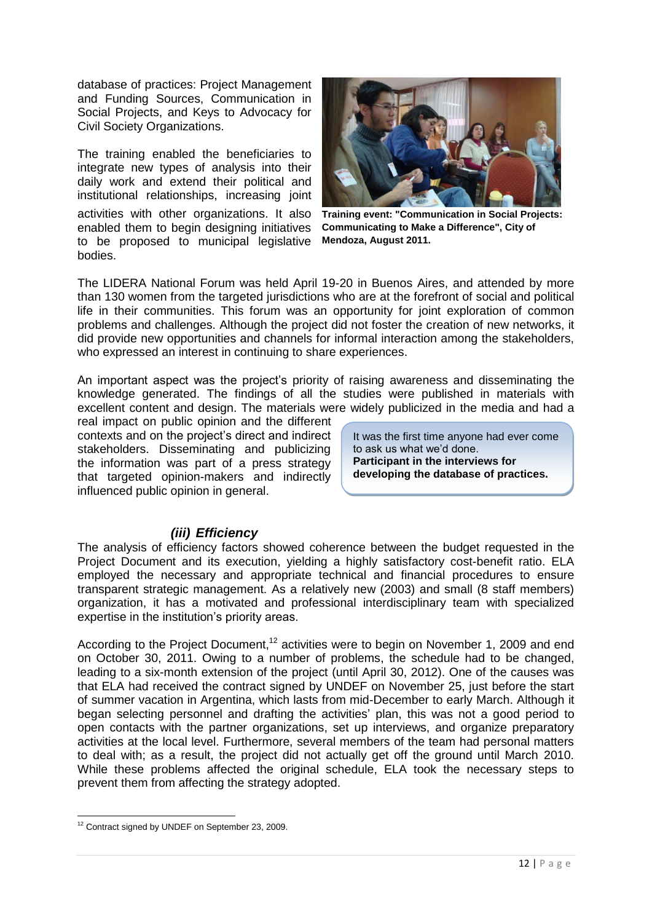database of practices: Project Management and Funding Sources, Communication in Social Projects, and Keys to Advocacy for Civil Society Organizations.

The training enabled the beneficiaries to integrate new types of analysis into their daily work and extend their political and institutional relationships, increasing joint activities with other organizations. It also enabled them to begin designing initiatives to be proposed to municipal legislative bodies.



**Training event: "Communication in Social Projects: Communicating to Make a Difference", City of Mendoza, August 2011.**

The LIDERA National Forum was held April 19-20 in Buenos Aires, and attended by more than 130 women from the targeted jurisdictions who are at the forefront of social and political life in their communities. This forum was an opportunity for joint exploration of common problems and challenges. Although the project did not foster the creation of new networks, it did provide new opportunities and channels for informal interaction among the stakeholders, who expressed an interest in continuing to share experiences.

An important aspect was the project's priority of raising awareness and disseminating the knowledge generated. The findings of all the studies were published in materials with excellent content and design. The materials were widely publicized in the media and had a

real impact on public opinion and the different contexts and on the project's direct and indirect stakeholders. Disseminating and publicizing the information was part of a press strategy that targeted opinion-makers and indirectly influenced public opinion in general.

It was the first time anyone had ever come to ask us what we'd done. **Participant in the interviews for developing the database of practices.** 

#### *(iii) Efficiency*

<span id="page-14-0"></span>The analysis of efficiency factors showed coherence between the budget requested in the Project Document and its execution, yielding a highly satisfactory cost-benefit ratio. ELA employed the necessary and appropriate technical and financial procedures to ensure transparent strategic management. As a relatively new (2003) and small (8 staff members) organization, it has a motivated and professional interdisciplinary team with specialized expertise in the institution's priority areas.

According to the Project Document,<sup>12</sup> activities were to begin on November 1, 2009 and end on October 30, 2011. Owing to a number of problems, the schedule had to be changed, leading to a six-month extension of the project (until April 30, 2012). One of the causes was that ELA had received the contract signed by UNDEF on November 25, just before the start of summer vacation in Argentina, which lasts from mid-December to early March. Although it began selecting personnel and drafting the activities' plan, this was not a good period to open contacts with the partner organizations, set up interviews, and organize preparatory activities at the local level. Furthermore, several members of the team had personal matters to deal with; as a result, the project did not actually get off the ground until March 2010. While these problems affected the original schedule, ELA took the necessary steps to prevent them from affecting the strategy adopted.

 $\overline{a}$ <sup>12</sup> Contract signed by UNDEF on September 23, 2009.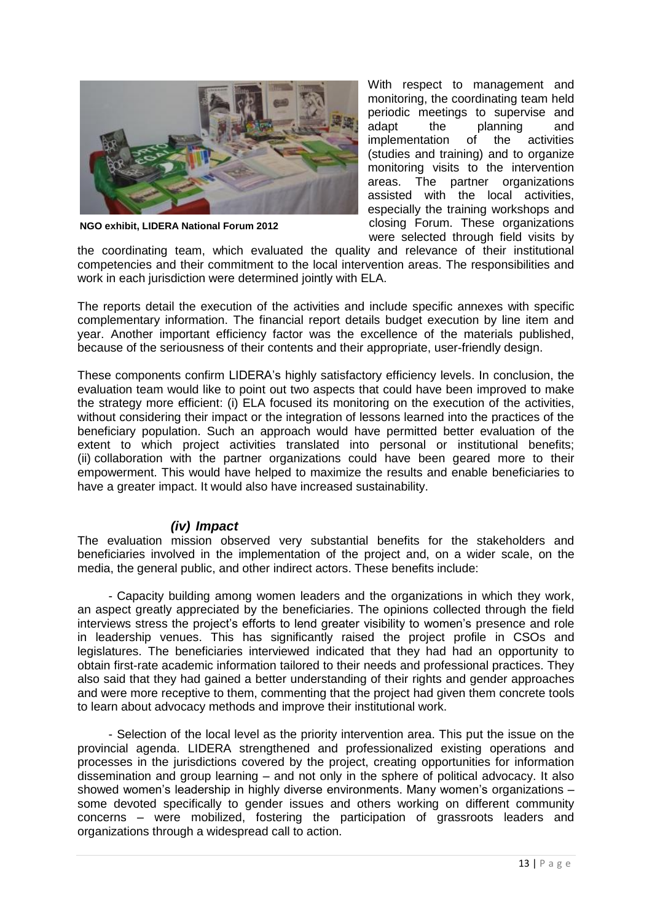

**NGO exhibit, LIDERA National Forum 2012**

With respect to management and monitoring, the coordinating team held periodic meetings to supervise and adapt the planning and implementation of the activities (studies and training) and to organize monitoring visits to the intervention areas. The partner organizations assisted with the local activities, especially the training workshops and closing Forum. These organizations were selected through field visits by

the coordinating team, which evaluated the quality and relevance of their institutional competencies and their commitment to the local intervention areas. The responsibilities and work in each jurisdiction were determined jointly with ELA.

The reports detail the execution of the activities and include specific annexes with specific complementary information. The financial report details budget execution by line item and year. Another important efficiency factor was the excellence of the materials published, because of the seriousness of their contents and their appropriate, user-friendly design.

These components confirm LIDERA's highly satisfactory efficiency levels. In conclusion, the evaluation team would like to point out two aspects that could have been improved to make the strategy more efficient: (i) ELA focused its monitoring on the execution of the activities, without considering their impact or the integration of lessons learned into the practices of the beneficiary population. Such an approach would have permitted better evaluation of the extent to which project activities translated into personal or institutional benefits; (ii) collaboration with the partner organizations could have been geared more to their empowerment. This would have helped to maximize the results and enable beneficiaries to have a greater impact. It would also have increased sustainability.

#### <span id="page-15-0"></span>*(iv) Impact*

The evaluation mission observed very substantial benefits for the stakeholders and beneficiaries involved in the implementation of the project and, on a wider scale, on the media, the general public, and other indirect actors. These benefits include:

- Capacity building among women leaders and the organizations in which they work, an aspect greatly appreciated by the beneficiaries. The opinions collected through the field interviews stress the project's efforts to lend greater visibility to women's presence and role in leadership venues. This has significantly raised the project profile in CSOs and legislatures. The beneficiaries interviewed indicated that they had had an opportunity to obtain first-rate academic information tailored to their needs and professional practices. They also said that they had gained a better understanding of their rights and gender approaches and were more receptive to them, commenting that the project had given them concrete tools to learn about advocacy methods and improve their institutional work.

- Selection of the local level as the priority intervention area. This put the issue on the provincial agenda. LIDERA strengthened and professionalized existing operations and processes in the jurisdictions covered by the project, creating opportunities for information dissemination and group learning – and not only in the sphere of political advocacy. It also showed women's leadership in highly diverse environments. Many women's organizations – some devoted specifically to gender issues and others working on different community concerns – were mobilized, fostering the participation of grassroots leaders and organizations through a widespread call to action.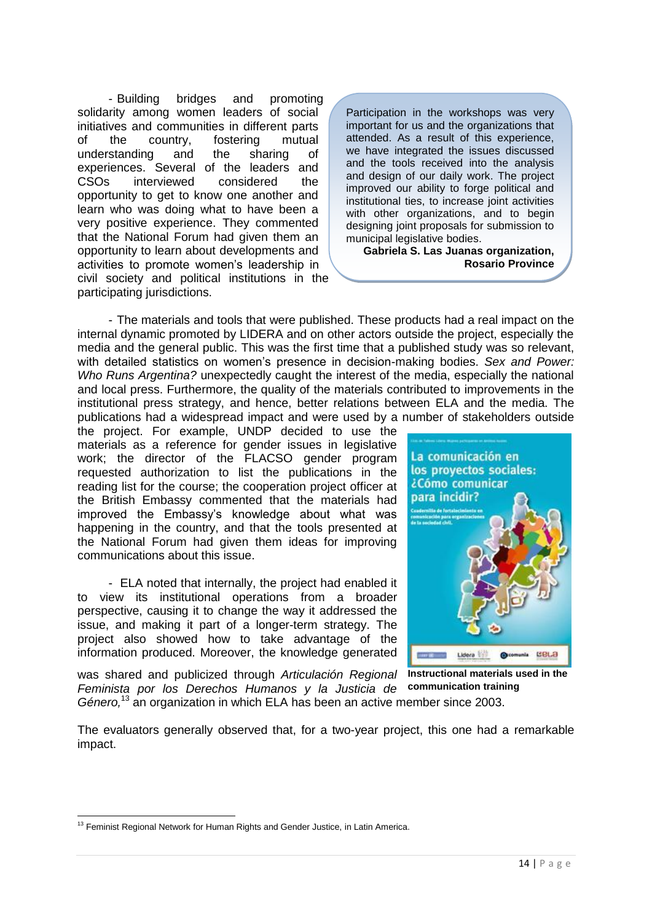- Building bridges and promoting solidarity among women leaders of social initiatives and communities in different parts of the country, fostering mutual understanding and the sharing of experiences. Several of the leaders and CSOs interviewed considered the opportunity to get to know one another and learn who was doing what to have been a very positive experience. They commented that the National Forum had given them an opportunity to learn about developments and activities to promote women's leadership in civil society and political institutions in the participating jurisdictions.

Participation in the workshops was very important for us and the organizations that attended. As a result of this experience, we have integrated the issues discussed and the tools received into the analysis and design of our daily work. The project improved our ability to forge political and institutional ties, to increase joint activities with other organizations, and to begin designing joint proposals for submission to municipal legislative bodies.

**Gabriela S. Las Juanas organization, Rosario Province** 

- The materials and tools that were published. These products had a real impact on the internal dynamic promoted by LIDERA and on other actors outside the project, especially the media and the general public. This was the first time that a published study was so relevant, with detailed statistics on women's presence in decision-making bodies. *Sex and Power: Who Runs Argentina?* unexpectedly caught the interest of the media, especially the national and local press. Furthermore, the quality of the materials contributed to improvements in the institutional press strategy, and hence, better relations between ELA and the media. The publications had a widespread impact and were used by a number of stakeholders outside

the project. For example, UNDP decided to use the materials as a reference for gender issues in legislative work; the director of the FLACSO gender program requested authorization to list the publications in the reading list for the course; the cooperation project officer at the British Embassy commented that the materials had improved the Embassy's knowledge about what was happening in the country, and that the tools presented at the National Forum had given them ideas for improving communications about this issue.

- ELA noted that internally, the project had enabled it to view its institutional operations from a broader perspective, causing it to change the way it addressed the issue, and making it part of a longer-term strategy. The project also showed how to take advantage of the information produced. Moreover, the knowledge generated

was shared and publicized through *Articulación Regional Feminista por los Derechos Humanos y la Justicia de*  Género,<sup>13</sup> an organization in which ELA has been an active member since 2003.



**Instructional materials used in the communication training** 

The evaluators generally observed that, for a two-year project, this one had a remarkable impact.

 $\overline{a}$ <sup>13</sup> Feminist Regional Network for Human Rights and Gender Justice, in Latin America.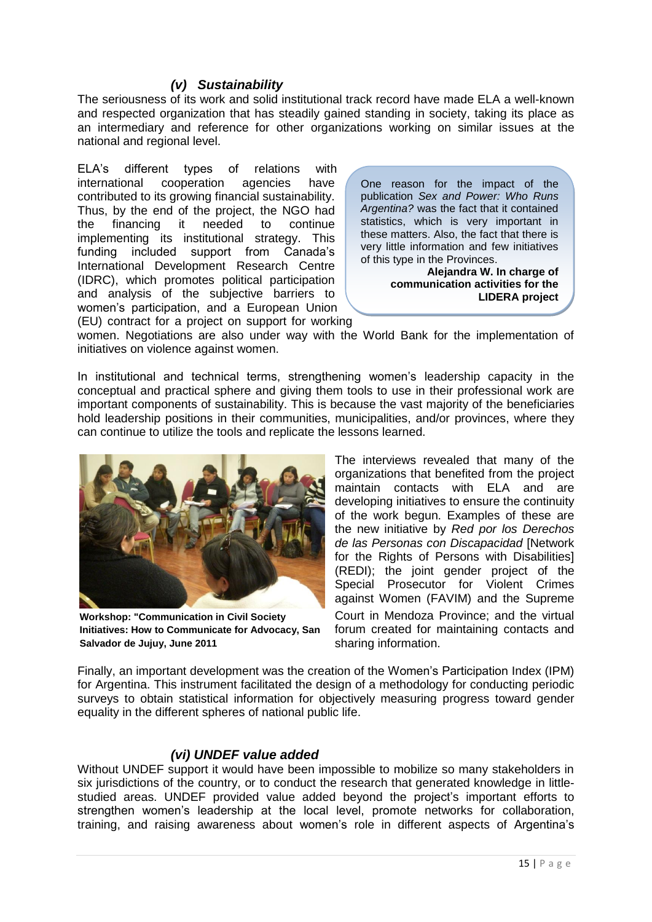#### <span id="page-17-0"></span>*(v) Sustainability*

The seriousness of its work and solid institutional track record have made ELA a well-known and respected organization that has steadily gained standing in society, taking its place as an intermediary and reference for other organizations working on similar issues at the national and regional level.

ELA's different types of relations with international cooperation agencies have contributed to its growing financial sustainability. Thus, by the end of the project, the NGO had the financing it needed to continue implementing its institutional strategy. This funding included support from Canada's International Development Research Centre (IDRC), which promotes political participation and analysis of the subjective barriers to women's participation, and a European Union (EU) contract for a project on support for working

One reason for the impact of the publication *Sex and Power: Who Runs Argentina?* was the fact that it contained statistics, which is very important in these matters. Also, the fact that there is very little information and few initiatives of this type in the Provinces.

> **Alejandra W. In charge of communication activities for the LIDERA project**

women. Negotiations are also under way with the World Bank for the implementation of initiatives on violence against women.

In institutional and technical terms, strengthening women's leadership capacity in the conceptual and practical sphere and giving them tools to use in their professional work are important components of sustainability. This is because the vast majority of the beneficiaries hold leadership positions in their communities, municipalities, and/or provinces, where they can continue to utilize the tools and replicate the lessons learned.



**Workshop: "Communication in Civil Society Initiatives: How to Communicate for Advocacy, San Salvador de Jujuy, June 2011**

The interviews revealed that many of the organizations that benefited from the project maintain contacts with ELA and are developing initiatives to ensure the continuity of the work begun. Examples of these are the new initiative by *Red por los Derechos de las Personas con Discapacidad* [Network for the Rights of Persons with Disabilities] (REDI); the joint gender project of the Special Prosecutor for Violent Crimes against Women (FAVIM) and the Supreme Court in Mendoza Province; and the virtual forum created for maintaining contacts and sharing information.

Finally, an important development was the creation of the Women's Participation Index (IPM) for Argentina. This instrument facilitated the design of a methodology for conducting periodic surveys to obtain statistical information for objectively measuring progress toward gender equality in the different spheres of national public life.

#### *(vi) UNDEF value added*

<span id="page-17-1"></span>Without UNDEF support it would have been impossible to mobilize so many stakeholders in six jurisdictions of the country, or to conduct the research that generated knowledge in littlestudied areas. UNDEF provided value added beyond the project's important efforts to strengthen women's leadership at the local level, promote networks for collaboration, training, and raising awareness about women's role in different aspects of Argentina's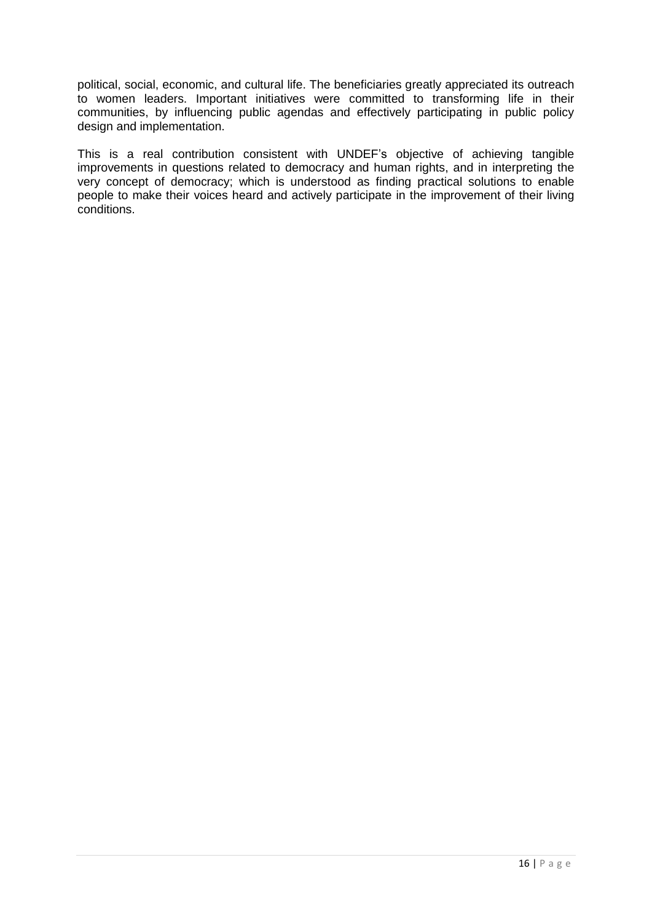political, social, economic, and cultural life. The beneficiaries greatly appreciated its outreach to women leaders. Important initiatives were committed to transforming life in their communities, by influencing public agendas and effectively participating in public policy design and implementation.

This is a real contribution consistent with UNDEF's objective of achieving tangible improvements in questions related to democracy and human rights, and in interpreting the very concept of democracy; which is understood as finding practical solutions to enable people to make their voices heard and actively participate in the improvement of their living conditions.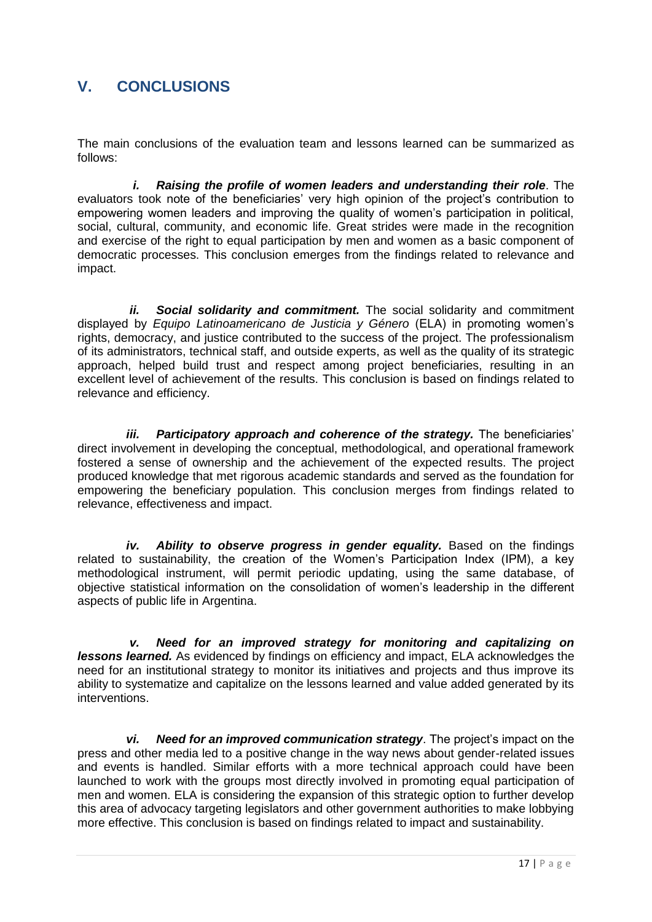## <span id="page-19-0"></span>**V. CONCLUSIONS**

The main conclusions of the evaluation team and lessons learned can be summarized as follows:

*i. Raising the profile of women leaders and understanding their role*. The evaluators took note of the beneficiaries' very high opinion of the project's contribution to empowering women leaders and improving the quality of women's participation in political, social, cultural, community, and economic life. Great strides were made in the recognition and exercise of the right to equal participation by men and women as a basic component of democratic processes. This conclusion emerges from the findings related to relevance and impact.

*ii. Social solidarity and commitment.* The social solidarity and commitment displayed by *Equipo Latinoamericano de Justicia y Género* (ELA) in promoting women's rights, democracy, and justice contributed to the success of the project. The professionalism of its administrators, technical staff, and outside experts, as well as the quality of its strategic approach, helped build trust and respect among project beneficiaries, resulting in an excellent level of achievement of the results. This conclusion is based on findings related to relevance and efficiency.

*iii.* Participatory approach and coherence of the strategy. The beneficiaries' direct involvement in developing the conceptual, methodological, and operational framework fostered a sense of ownership and the achievement of the expected results. The project produced knowledge that met rigorous academic standards and served as the foundation for empowering the beneficiary population. This conclusion merges from findings related to relevance, effectiveness and impact.

*iv. Ability to observe progress in gender equality.* Based on the findings related to sustainability, the creation of the Women's Participation Index (IPM), a key methodological instrument, will permit periodic updating, using the same database, of objective statistical information on the consolidation of women's leadership in the different aspects of public life in Argentina.

*v. Need for an improved strategy for monitoring and capitalizing on lessons learned.* As evidenced by findings on efficiency and impact, ELA acknowledges the need for an institutional strategy to monitor its initiatives and projects and thus improve its ability to systematize and capitalize on the lessons learned and value added generated by its interventions.

*vi. Need for an improved communication strategy*. The project's impact on the press and other media led to a positive change in the way news about gender-related issues and events is handled. Similar efforts with a more technical approach could have been launched to work with the groups most directly involved in promoting equal participation of men and women. ELA is considering the expansion of this strategic option to further develop this area of advocacy targeting legislators and other government authorities to make lobbying more effective. This conclusion is based on findings related to impact and sustainability.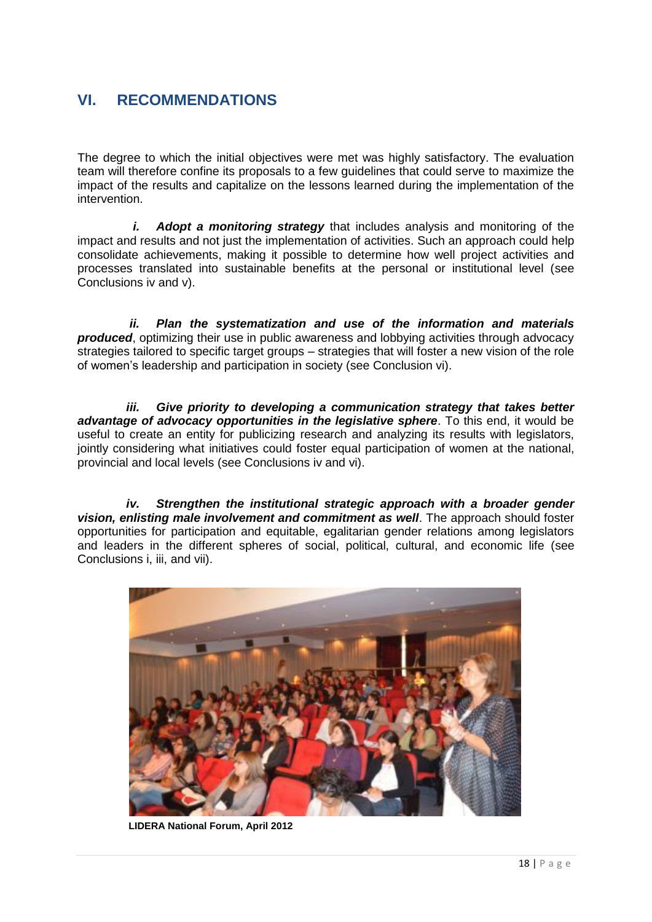## <span id="page-20-0"></span>**VI. RECOMMENDATIONS**

The degree to which the initial objectives were met was highly satisfactory. The evaluation team will therefore confine its proposals to a few guidelines that could serve to maximize the impact of the results and capitalize on the lessons learned during the implementation of the intervention.

*i. Adopt a monitoring strategy* that includes analysis and monitoring of the impact and results and not just the implementation of activities. Such an approach could help consolidate achievements, making it possible to determine how well project activities and processes translated into sustainable benefits at the personal or institutional level (see Conclusions iv and v).

*ii. Plan the systematization and use of the information and materials produced*, optimizing their use in public awareness and lobbying activities through advocacy strategies tailored to specific target groups – strategies that will foster a new vision of the role of women's leadership and participation in society (see Conclusion vi).

*iii. Give priority to developing a communication strategy that takes better advantage of advocacy opportunities in the legislative sphere*. To this end, it would be useful to create an entity for publicizing research and analyzing its results with legislators, jointly considering what initiatives could foster equal participation of women at the national, provincial and local levels (see Conclusions iv and vi).

*iv. Strengthen the institutional strategic approach with a broader gender vision, enlisting male involvement and commitment as well*. The approach should foster opportunities for participation and equitable, egalitarian gender relations among legislators and leaders in the different spheres of social, political, cultural, and economic life (see Conclusions i, iii, and vii).



**LIDERA National Forum, April 2012**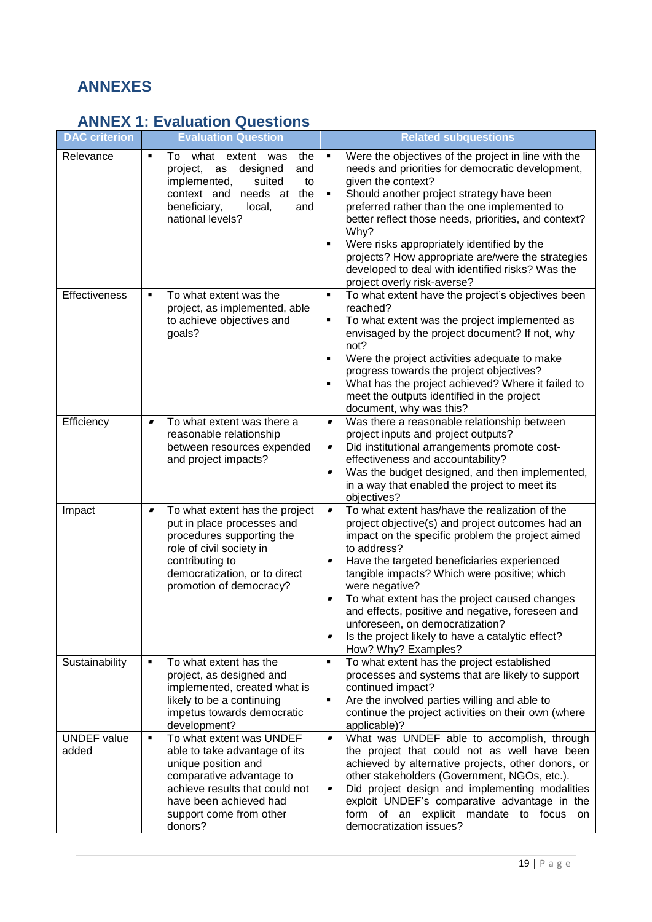## <span id="page-21-0"></span>**ANNEXES**

# <span id="page-21-1"></span>**ANNEX 1: Evaluation Questions**

| <b>DAC</b> criterion        | <b>Evaluation Question</b>                                                                                                                                                                                             | <b>Related subquestions</b>                                                                                                                                                                                                                                                                                                                                                                                                                                                                                                                         |
|-----------------------------|------------------------------------------------------------------------------------------------------------------------------------------------------------------------------------------------------------------------|-----------------------------------------------------------------------------------------------------------------------------------------------------------------------------------------------------------------------------------------------------------------------------------------------------------------------------------------------------------------------------------------------------------------------------------------------------------------------------------------------------------------------------------------------------|
| Relevance                   | what extent<br>To<br>was<br>the<br>٠<br>project,<br>designed<br>and<br>as<br>implemented,<br>suited<br>to<br>the<br>context and<br>needs at<br>beneficiary,<br>local,<br>and<br>national levels?                       | Were the objectives of the project in line with the<br>٠<br>needs and priorities for democratic development,<br>given the context?<br>Should another project strategy have been<br>preferred rather than the one implemented to<br>better reflect those needs, priorities, and context?<br>Why?<br>Were risks appropriately identified by the<br>$\blacksquare$<br>projects? How appropriate are/were the strategies<br>developed to deal with identified risks? Was the<br>project overly risk-averse?                                             |
| Effectiveness               | To what extent was the<br>٠<br>project, as implemented, able<br>to achieve objectives and<br>goals?                                                                                                                    | To what extent have the project's objectives been<br>$\blacksquare$<br>reached?<br>To what extent was the project implemented as<br>٠<br>envisaged by the project document? If not, why<br>not?<br>Were the project activities adequate to make<br>п<br>progress towards the project objectives?<br>What has the project achieved? Where it failed to<br>meet the outputs identified in the project<br>document, why was this?                                                                                                                      |
| Efficiency                  | To what extent was there a<br>$\blacksquare$<br>reasonable relationship<br>between resources expended<br>and project impacts?                                                                                          | Was there a reasonable relationship between<br>$\blacksquare$<br>project inputs and project outputs?<br>Did institutional arrangements promote cost-<br>$\blacksquare$<br>effectiveness and accountability?<br>Was the budget designed, and then implemented,<br>$\blacksquare$<br>in a way that enabled the project to meet its<br>objectives?                                                                                                                                                                                                     |
| Impact                      | To what extent has the project<br>$\blacksquare$<br>put in place processes and<br>procedures supporting the<br>role of civil society in<br>contributing to<br>democratization, or to direct<br>promotion of democracy? | To what extent has/have the realization of the<br>$\blacksquare$<br>project objective(s) and project outcomes had an<br>impact on the specific problem the project aimed<br>to address?<br>Have the targeted beneficiaries experienced<br>tangible impacts? Which were positive; which<br>were negative?<br>To what extent has the project caused changes<br>$\blacksquare$<br>and effects, positive and negative, foreseen and<br>unforeseen, on democratization?<br>Is the project likely to have a catalytic effect?<br>■<br>How? Why? Examples? |
| Sustainability              | To what extent has the<br>٠<br>project, as designed and<br>implemented, created what is<br>likely to be a continuing<br>impetus towards democratic<br>development?                                                     | To what extent has the project established<br>$\blacksquare$<br>processes and systems that are likely to support<br>continued impact?<br>Are the involved parties willing and able to<br>٠<br>continue the project activities on their own (where<br>applicable)?                                                                                                                                                                                                                                                                                   |
| <b>UNDEF</b> value<br>added | To what extent was UNDEF<br>٠<br>able to take advantage of its<br>unique position and<br>comparative advantage to<br>achieve results that could not<br>have been achieved had<br>support come from other<br>donors?    | What was UNDEF able to accomplish, through<br>$\blacksquare$<br>the project that could not as well have been<br>achieved by alternative projects, other donors, or<br>other stakeholders (Government, NGOs, etc.).<br>Did project design and implementing modalities<br>exploit UNDEF's comparative advantage in the<br>form of an explicit mandate to focus on<br>democratization issues?                                                                                                                                                          |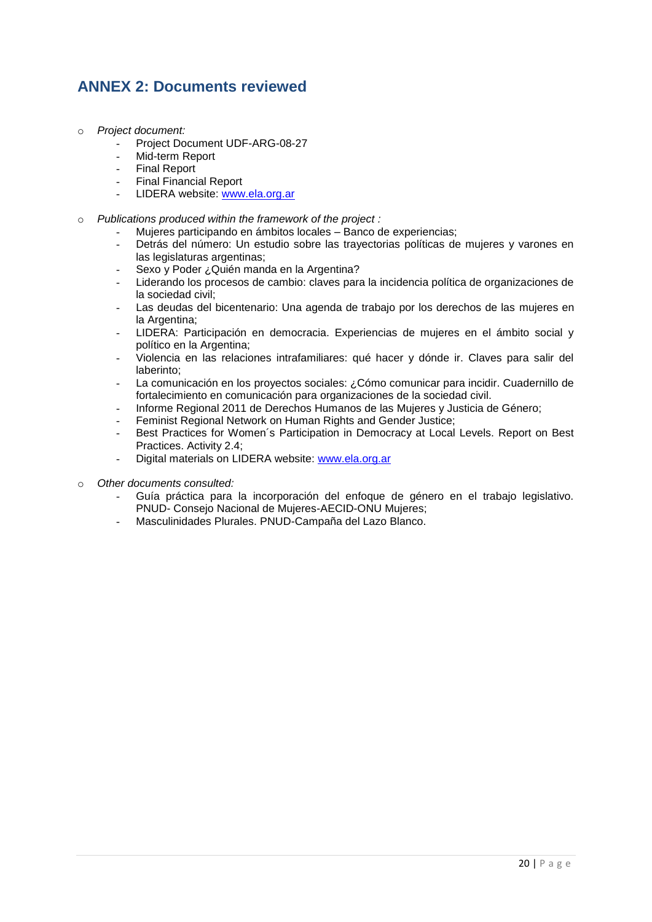## <span id="page-22-0"></span>**ANNEX 2: Documents reviewed**

- o *Project document:*
	- Project Document UDF-ARG-08-27
	- Mid-term Report
	- Final Report
	- Final Financial Report
	- LIDERA website: [www.ela.org.ar](http://www.ela.org.ar/)
- o *Publications produced within the framework of the project :*
	- Mujeres participando en ámbitos locales Banco de experiencias;
	- Detrás del número: Un estudio sobre las trayectorias políticas de mujeres y varones en las legislaturas argentinas;
	- Sexo y Poder ¿Quién manda en la Argentina?
	- Liderando los procesos de cambio: claves para la incidencia política de organizaciones de la sociedad civil;
	- Las deudas del bicentenario: Una agenda de trabajo por los derechos de las mujeres en la Argentina:
	- LIDERA: Participación en democracia. Experiencias de mujeres en el ámbito social y político en la Argentina;
	- Violencia en las relaciones intrafamiliares: qué hacer y dónde ir. Claves para salir del laberinto;
	- La comunicación en los proyectos sociales: ¿Cómo comunicar para incidir. Cuadernillo de fortalecimiento en comunicación para organizaciones de la sociedad civil.
	- Informe Regional 2011 de Derechos Humanos de las Mujeres y Justicia de Género;
	- Feminist Regional Network on Human Rights and Gender Justice;
	- Best Practices for Women's Participation in Democracy at Local Levels. Report on Best Practices. Activity 2.4;
	- Digital materials on LIDERA website: [www.ela.org.ar](http://www.ela.org.ar/)
- o *Other documents consulted:* 
	- Guía práctica para la incorporación del enfoque de género en el trabajo legislativo. PNUD- Consejo Nacional de Mujeres-AECID-ONU Mujeres;
	- Masculinidades Plurales. PNUD-Campaña del Lazo Blanco.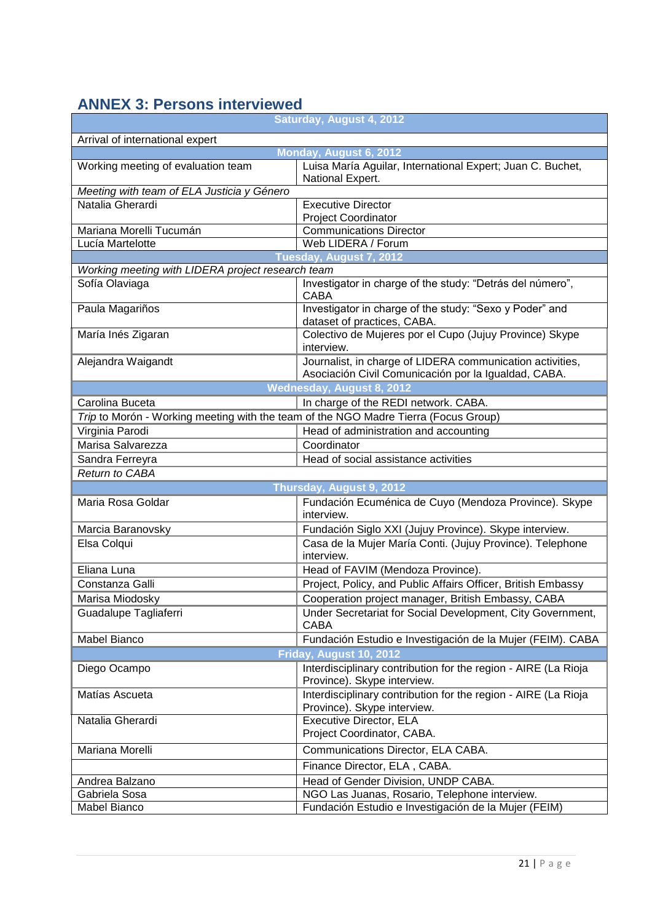## <span id="page-23-0"></span>**ANNEX 3: Persons interviewed**

| Saturday, August 4, 2012                                                            |                                                                                                                   |  |  |
|-------------------------------------------------------------------------------------|-------------------------------------------------------------------------------------------------------------------|--|--|
| Arrival of international expert                                                     |                                                                                                                   |  |  |
|                                                                                     | Monday, August 6, 2012                                                                                            |  |  |
| Working meeting of evaluation team                                                  | Luisa María Aguilar, International Expert; Juan C. Buchet,<br>National Expert.                                    |  |  |
| Meeting with team of ELA Justicia y Género                                          |                                                                                                                   |  |  |
| Natalia Gherardi                                                                    | <b>Executive Director</b><br><b>Project Coordinator</b>                                                           |  |  |
| Mariana Morelli Tucumán                                                             | <b>Communications Director</b>                                                                                    |  |  |
| Lucía Martelotte                                                                    | Web LIDERA / Forum                                                                                                |  |  |
|                                                                                     | Tuesday, August 7, 2012                                                                                           |  |  |
| Working meeting with LIDERA project research team                                   |                                                                                                                   |  |  |
| Sofía Olaviaga                                                                      | Investigator in charge of the study: "Detrás del número",<br><b>CABA</b>                                          |  |  |
| Paula Magariños                                                                     | Investigator in charge of the study: "Sexo y Poder" and<br>dataset of practices, CABA.                            |  |  |
| María Inés Zigaran                                                                  | Colectivo de Mujeres por el Cupo (Jujuy Province) Skype<br>interview.                                             |  |  |
| Alejandra Waigandt                                                                  | Journalist, in charge of LIDERA communication activities,<br>Asociación Civil Comunicación por la Igualdad, CABA. |  |  |
|                                                                                     | Wednesday, August 8, 2012                                                                                         |  |  |
| Carolina Buceta                                                                     | In charge of the REDI network. CABA.                                                                              |  |  |
| Trip to Morón - Working meeting with the team of the NGO Madre Tierra (Focus Group) |                                                                                                                   |  |  |
| Virginia Parodi                                                                     | Head of administration and accounting                                                                             |  |  |
| Marisa Salvarezza                                                                   | Coordinator                                                                                                       |  |  |
| Sandra Ferreyra                                                                     | Head of social assistance activities                                                                              |  |  |
| Return to CABA                                                                      |                                                                                                                   |  |  |
|                                                                                     | Thursday, August 9, 2012                                                                                          |  |  |
| Maria Rosa Goldar                                                                   | Fundación Ecuménica de Cuyo (Mendoza Province). Skype<br>interview.                                               |  |  |
| Marcia Baranovsky                                                                   | Fundación Siglo XXI (Jujuy Province). Skype interview.                                                            |  |  |
| Elsa Colqui                                                                         | Casa de la Mujer María Conti. (Jujuy Province). Telephone<br>interview.                                           |  |  |
| Eliana Luna                                                                         | Head of FAVIM (Mendoza Province).                                                                                 |  |  |
| Constanza Galli                                                                     | Project, Policy, and Public Affairs Officer, British Embassy                                                      |  |  |
| Marisa Miodosky                                                                     | Cooperation project manager, British Embassy, CABA                                                                |  |  |
| Guadalupe Tagliaferri                                                               | Under Secretariat for Social Development, City Government,<br><b>CABA</b>                                         |  |  |
| Mabel Bianco                                                                        | Fundación Estudio e Investigación de la Mujer (FEIM). CABA                                                        |  |  |
|                                                                                     | Friday, August 10, 2012                                                                                           |  |  |
| Diego Ocampo                                                                        | Interdisciplinary contribution for the region - AIRE (La Rioja<br>Province). Skype interview.                     |  |  |
| Matías Ascueta                                                                      | Interdisciplinary contribution for the region - AIRE (La Rioja<br>Province). Skype interview.                     |  |  |
| Natalia Gherardi                                                                    | <b>Executive Director, ELA</b><br>Project Coordinator, CABA.                                                      |  |  |
| Mariana Morelli                                                                     | Communications Director, ELA CABA.                                                                                |  |  |
|                                                                                     | Finance Director, ELA, CABA.                                                                                      |  |  |
| Andrea Balzano                                                                      | Head of Gender Division, UNDP CABA.                                                                               |  |  |
| Gabriela Sosa                                                                       | NGO Las Juanas, Rosario, Telephone interview.                                                                     |  |  |
| Mabel Bianco                                                                        | Fundación Estudio e Investigación de la Mujer (FEIM)                                                              |  |  |